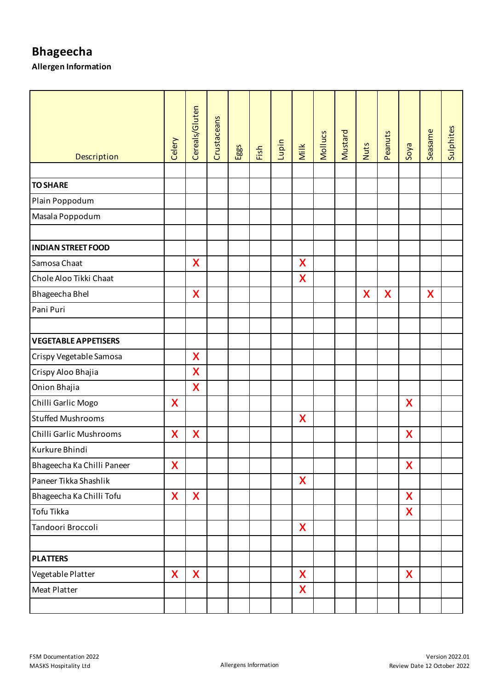| Description                 | Celery | Cereals/Gluten   | Crustaceans | Eggs | Fish | Lupin | Milk | <b>Mollucs</b> | Mustard | Nuts             | Peanuts | Soya                      | Seasame | Sulphites |
|-----------------------------|--------|------------------|-------------|------|------|-------|------|----------------|---------|------------------|---------|---------------------------|---------|-----------|
|                             |        |                  |             |      |      |       |      |                |         |                  |         |                           |         |           |
| <b>TO SHARE</b>             |        |                  |             |      |      |       |      |                |         |                  |         |                           |         |           |
| Plain Poppodum              |        |                  |             |      |      |       |      |                |         |                  |         |                           |         |           |
| Masala Poppodum             |        |                  |             |      |      |       |      |                |         |                  |         |                           |         |           |
|                             |        |                  |             |      |      |       |      |                |         |                  |         |                           |         |           |
| <b>INDIAN STREET FOOD</b>   |        |                  |             |      |      |       |      |                |         |                  |         |                           |         |           |
| Samosa Chaat                |        | X                |             |      |      |       | X    |                |         |                  |         |                           |         |           |
| Chole Aloo Tikki Chaat      |        |                  |             |      |      |       | X    |                |         |                  |         |                           |         |           |
| Bhageecha Bhel              |        | $\boldsymbol{X}$ |             |      |      |       |      |                |         | $\boldsymbol{X}$ | X       |                           | X       |           |
| Pani Puri                   |        |                  |             |      |      |       |      |                |         |                  |         |                           |         |           |
|                             |        |                  |             |      |      |       |      |                |         |                  |         |                           |         |           |
| <b>VEGETABLE APPETISERS</b> |        |                  |             |      |      |       |      |                |         |                  |         |                           |         |           |
| Crispy Vegetable Samosa     |        | $\mathsf{X}$     |             |      |      |       |      |                |         |                  |         |                           |         |           |
| Crispy Aloo Bhajia          |        | X                |             |      |      |       |      |                |         |                  |         |                           |         |           |
| Onion Bhajia                |        | X                |             |      |      |       |      |                |         |                  |         |                           |         |           |
| Chilli Garlic Mogo          | X      |                  |             |      |      |       |      |                |         |                  |         | $\boldsymbol{\mathsf{X}}$ |         |           |
| <b>Stuffed Mushrooms</b>    |        |                  |             |      |      |       | X    |                |         |                  |         |                           |         |           |
| Chilli Garlic Mushrooms     | X      | $\mathsf{X}$     |             |      |      |       |      |                |         |                  |         | X                         |         |           |
| Kurkure Bhindi              |        |                  |             |      |      |       |      |                |         |                  |         |                           |         |           |
| Bhageecha Ka Chilli Paneer  | X      |                  |             |      |      |       |      |                |         |                  |         | X                         |         |           |
| Paneer Tikka Shashlik       |        |                  |             |      |      |       | X    |                |         |                  |         |                           |         |           |
| Bhageecha Ka Chilli Tofu    | X      | $\mathsf{X}$     |             |      |      |       |      |                |         |                  |         | X                         |         |           |
| Tofu Tikka                  |        |                  |             |      |      |       |      |                |         |                  |         | <b>X</b>                  |         |           |
| Tandoori Broccoli           |        |                  |             |      |      |       | X    |                |         |                  |         |                           |         |           |
|                             |        |                  |             |      |      |       |      |                |         |                  |         |                           |         |           |
| <b>PLATTERS</b>             |        |                  |             |      |      |       |      |                |         |                  |         |                           |         |           |
| Vegetable Platter           | X      | X                |             |      |      |       | X    |                |         |                  |         | X                         |         |           |
| <b>Meat Platter</b>         |        |                  |             |      |      |       | X    |                |         |                  |         |                           |         |           |
|                             |        |                  |             |      |      |       |      |                |         |                  |         |                           |         |           |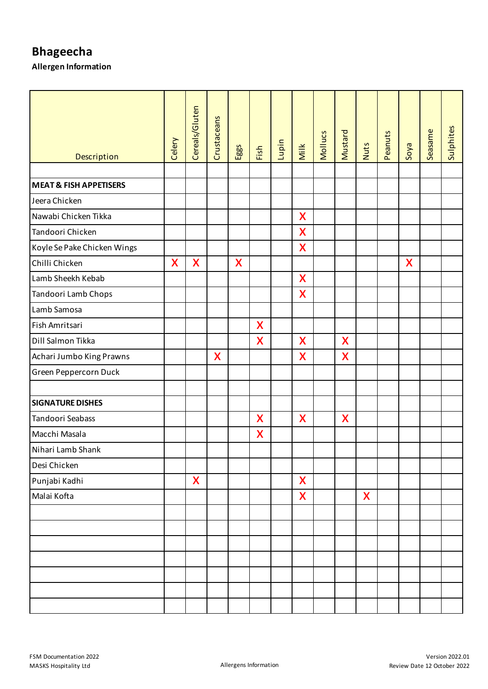| Description                       | Celery | Cereals/Gluten     | Crustaceans | Eggs | Fish         | Lupin | Milk               | <b>Mollucs</b> | Mustard | Nuts | Peanuts | Soya | Seasame | Sulphites |
|-----------------------------------|--------|--------------------|-------------|------|--------------|-------|--------------------|----------------|---------|------|---------|------|---------|-----------|
|                                   |        |                    |             |      |              |       |                    |                |         |      |         |      |         |           |
| <b>MEAT &amp; FISH APPETISERS</b> |        |                    |             |      |              |       |                    |                |         |      |         |      |         |           |
| Jeera Chicken                     |        |                    |             |      |              |       |                    |                |         |      |         |      |         |           |
| Nawabi Chicken Tikka              |        |                    |             |      |              |       | X                  |                |         |      |         |      |         |           |
| Tandoori Chicken                  |        |                    |             |      |              |       | X                  |                |         |      |         |      |         |           |
| Koyle Se Pake Chicken Wings       |        |                    |             |      |              |       | X                  |                |         |      |         |      |         |           |
| Chilli Chicken                    | X      | X                  |             | X    |              |       |                    |                |         |      |         | X    |         |           |
| Lamb Sheekh Kebab                 |        |                    |             |      |              |       | X                  |                |         |      |         |      |         |           |
| Tandoori Lamb Chops               |        |                    |             |      |              |       | X                  |                |         |      |         |      |         |           |
| Lamb Samosa                       |        |                    |             |      |              |       |                    |                |         |      |         |      |         |           |
| Fish Amritsari                    |        |                    |             |      | X            |       |                    |                |         |      |         |      |         |           |
| Dill Salmon Tikka                 |        |                    |             |      | X            |       | X                  |                | X       |      |         |      |         |           |
| Achari Jumbo King Prawns          |        |                    | X           |      |              |       | X                  |                | X       |      |         |      |         |           |
| Green Peppercorn Duck             |        |                    |             |      |              |       |                    |                |         |      |         |      |         |           |
| <b>SIGNATURE DISHES</b>           |        |                    |             |      |              |       |                    |                |         |      |         |      |         |           |
| Tandoori Seabass                  |        |                    |             |      | $\mathsf{X}$ |       | X                  |                | X       |      |         |      |         |           |
| Macchi Masala                     |        |                    |             |      | X            |       |                    |                |         |      |         |      |         |           |
| Nihari Lamb Shank                 |        |                    |             |      |              |       |                    |                |         |      |         |      |         |           |
| Desi Chicken                      |        |                    |             |      |              |       |                    |                |         |      |         |      |         |           |
| Punjabi Kadhi                     |        | $\mathsf{X}% _{0}$ |             |      |              |       | $\boldsymbol{X}$   |                |         |      |         |      |         |           |
| Malai Kofta                       |        |                    |             |      |              |       | $\mathsf{X}% _{0}$ |                |         | X    |         |      |         |           |
|                                   |        |                    |             |      |              |       |                    |                |         |      |         |      |         |           |
|                                   |        |                    |             |      |              |       |                    |                |         |      |         |      |         |           |
|                                   |        |                    |             |      |              |       |                    |                |         |      |         |      |         |           |
|                                   |        |                    |             |      |              |       |                    |                |         |      |         |      |         |           |
|                                   |        |                    |             |      |              |       |                    |                |         |      |         |      |         |           |
|                                   |        |                    |             |      |              |       |                    |                |         |      |         |      |         |           |
|                                   |        |                    |             |      |              |       |                    |                |         |      |         |      |         |           |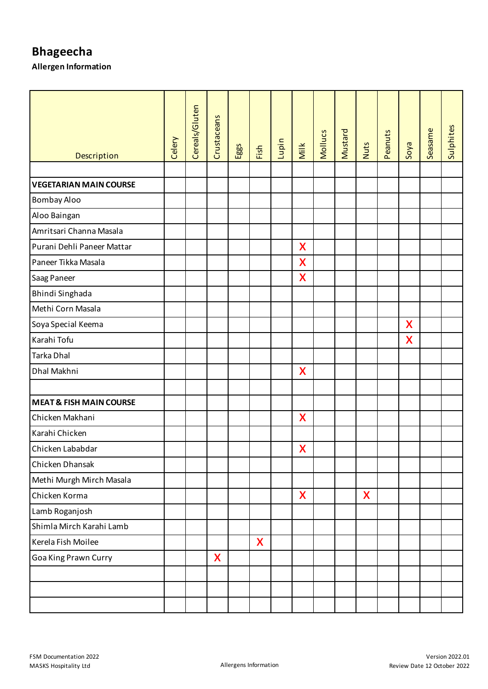| Description                        | Celery | Cereals/Gluten | Crustaceans | Eggs | Fish         | Lupin | Milk                      | Mollucs | Mustard | <b>Nuts</b> | Peanuts | Soya                      | Seasame | Sulphites |
|------------------------------------|--------|----------------|-------------|------|--------------|-------|---------------------------|---------|---------|-------------|---------|---------------------------|---------|-----------|
|                                    |        |                |             |      |              |       |                           |         |         |             |         |                           |         |           |
| <b>VEGETARIAN MAIN COURSE</b>      |        |                |             |      |              |       |                           |         |         |             |         |                           |         |           |
| Bombay Aloo                        |        |                |             |      |              |       |                           |         |         |             |         |                           |         |           |
| Aloo Baingan                       |        |                |             |      |              |       |                           |         |         |             |         |                           |         |           |
| Amritsari Channa Masala            |        |                |             |      |              |       |                           |         |         |             |         |                           |         |           |
| Purani Dehli Paneer Mattar         |        |                |             |      |              |       | X                         |         |         |             |         |                           |         |           |
| Paneer Tikka Masala                |        |                |             |      |              |       | X                         |         |         |             |         |                           |         |           |
| Saag Paneer                        |        |                |             |      |              |       | X                         |         |         |             |         |                           |         |           |
| Bhindi Singhada                    |        |                |             |      |              |       |                           |         |         |             |         |                           |         |           |
| Methi Corn Masala                  |        |                |             |      |              |       |                           |         |         |             |         |                           |         |           |
| Soya Special Keema                 |        |                |             |      |              |       |                           |         |         |             |         | $\boldsymbol{\mathsf{X}}$ |         |           |
| Karahi Tofu                        |        |                |             |      |              |       |                           |         |         |             |         | X                         |         |           |
| Tarka Dhal                         |        |                |             |      |              |       |                           |         |         |             |         |                           |         |           |
| Dhal Makhni                        |        |                |             |      |              |       | X                         |         |         |             |         |                           |         |           |
|                                    |        |                |             |      |              |       |                           |         |         |             |         |                           |         |           |
| <b>MEAT &amp; FISH MAIN COURSE</b> |        |                |             |      |              |       |                           |         |         |             |         |                           |         |           |
| Chicken Makhani                    |        |                |             |      |              |       | X                         |         |         |             |         |                           |         |           |
| Karahi Chicken                     |        |                |             |      |              |       |                           |         |         |             |         |                           |         |           |
| Chicken Lababdar                   |        |                |             |      |              |       | $\boldsymbol{\mathsf{X}}$ |         |         |             |         |                           |         |           |
| Chicken Dhansak                    |        |                |             |      |              |       |                           |         |         |             |         |                           |         |           |
| Methi Murgh Mirch Masala           |        |                |             |      |              |       |                           |         |         |             |         |                           |         |           |
| Chicken Korma                      |        |                |             |      |              |       | X                         |         |         | X           |         |                           |         |           |
| Lamb Roganjosh                     |        |                |             |      |              |       |                           |         |         |             |         |                           |         |           |
| Shimla Mirch Karahi Lamb           |        |                |             |      |              |       |                           |         |         |             |         |                           |         |           |
| Kerela Fish Moilee                 |        |                |             |      | $\mathsf{X}$ |       |                           |         |         |             |         |                           |         |           |
| Goa King Prawn Curry               |        |                | X           |      |              |       |                           |         |         |             |         |                           |         |           |
|                                    |        |                |             |      |              |       |                           |         |         |             |         |                           |         |           |
|                                    |        |                |             |      |              |       |                           |         |         |             |         |                           |         |           |
|                                    |        |                |             |      |              |       |                           |         |         |             |         |                           |         |           |